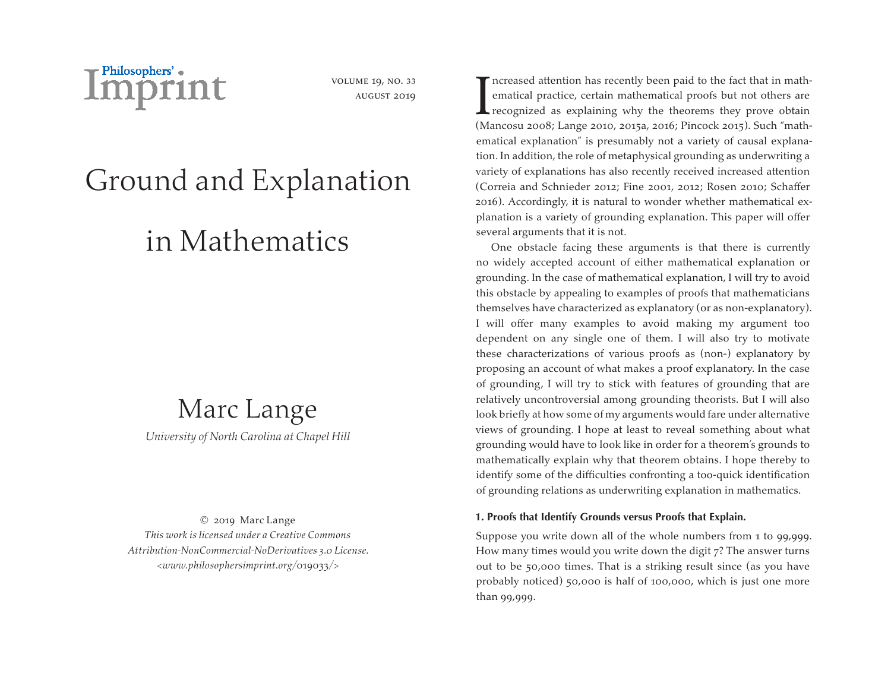

volume 19, no. 33 august 2019

# Ground and Explanation

## in Mathematics

### Marc Lange *University of North Carolina at Chapel Hill*

© 2019 Marc Lange *This work is licensed under a Creative Commons Attribution-NonCommercial-NoDerivatives 3.0 License. <www.philosophersimprint.org/*019033*/>*

I ncreased attention has recently been paid to the fact that in mathematical proofs but not others are<br>recognized as explaining why the theorems they prove obtain<br>(Mancosu 2008: Lange 2010, 2015, 2016; Pincock 2015) Such " ematical practice, certain mathematical proofs but not others are  $\blacktriangle$  recognized as explaining why the theorems they prove obtain (Mancosu 2008; Lange 2010, 2015a, 2016; Pincock 2015). Such "mathematical explanation" is presumably not a variety of causal explanation. In addition, the role of metaphysical grounding as underwriting a variety of explanations has also recently received increased attention (Correia and Schnieder 2012; Fine 2001, 2012; Rosen 2010; Schaffer 2016). Accordingly, it is natural to wonder whether mathematical explanation is a variety of grounding explanation. This paper will offer several arguments that it is not.

One obstacle facing these arguments is that there is currently no widely accepted account of either mathematical explanation or grounding. In the case of mathematical explanation, I will try to avoid this obstacle by appealing to examples of proofs that mathematicians themselves have characterized as explanatory (or as non-explanatory). I will offer many examples to avoid making my argument too dependent on any single one of them. I will also try to motivate these characterizations of various proofs as (non-) explanatory by proposing an account of what makes a proof explanatory. In the case of grounding, I will try to stick with features of grounding that are relatively uncontroversial among grounding theorists. But I will also look briefly at how some of my arguments would fare under alternative views of grounding. I hope at least to reveal something about what grounding would have to look like in order for a theorem's grounds to mathematically explain why that theorem obtains. I hope thereby to identify some of the difficulties confronting a too-quick identification of grounding relations as underwriting explanation in mathematics.

#### **1. Proofs that Identify Grounds versus Proofs that Explain.**

Suppose you write down all of the whole numbers from 1 to 99,999. How many times would you write down the digit 7? The answer turns out to be 50,000 times. That is a striking result since (as you have probably noticed) 50,000 is half of 100,000, which is just one more than 99,999.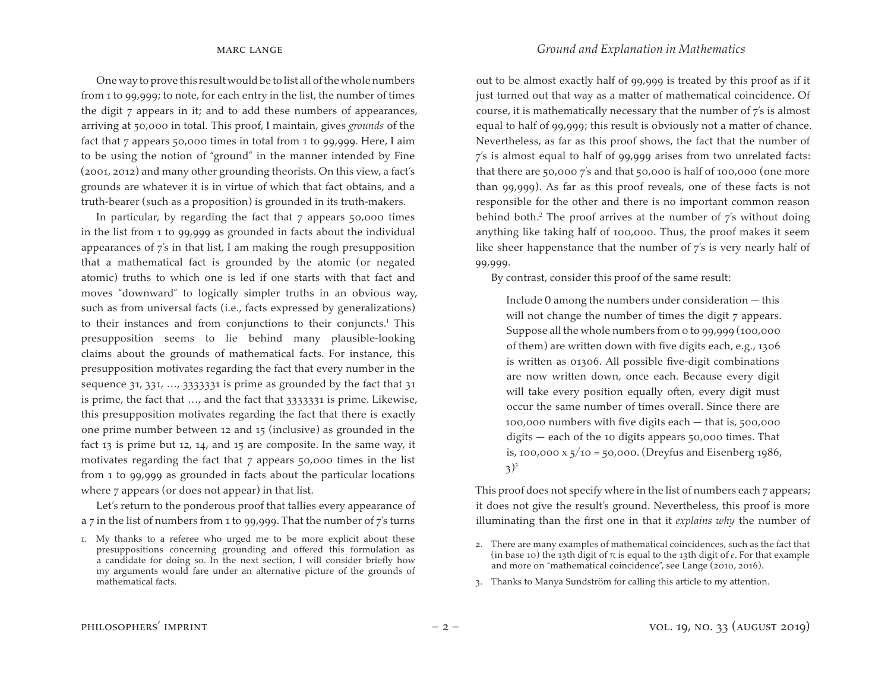One way to prove this result would be to list all of the whole numbers from 1 to 99,999; to note, for each entry in the list, the number of times the digit 7 appears in it; and to add these numbers of appearances, arriving at 50,000 in total. This proof, I maintain, gives *grounds* of the fact that 7 appears 50,000 times in total from 1 to 99,999. Here, I aim to be using the notion of "ground" in the manner intended by Fine (2001, 2012) and many other grounding theorists. On this view, a fact's grounds are whatever it is in virtue of which that fact obtains, and a truth-bearer (such as a proposition) is grounded in its truth-makers.

In particular, by regarding the fact that  $7$  appears  $50,000$  times in the list from 1 to 99,999 as grounded in facts about the individual appearances of 7's in that list, I am making the rough presupposition that a mathematical fact is grounded by the atomic (or negated atomic) truths to which one is led if one starts with that fact and moves "downward" to logically simpler truths in an obvious way, such as from universal facts (i.e., facts expressed by generalizations) to their instances and from conjunctions to their conjuncts.<sup>1</sup> This presupposition seems to lie behind many plausible-looking claims about the grounds of mathematical facts. For instance, this presupposition motivates regarding the fact that every number in the sequence 31, 331, ..., 3333331 is prime as grounded by the fact that 31 is prime, the fact that …, and the fact that 3333331 is prime. Likewise, this presupposition motivates regarding the fact that there is exactly one prime number between 12 and 15 (inclusive) as grounded in the fact 13 is prime but 12, 14, and 15 are composite. In the same way, it motivates regarding the fact that 7 appears 50,000 times in the list from 1 to 99,999 as grounded in facts about the particular locations where 7 appears (or does not appear) in that list.

Let's return to the ponderous proof that tallies every appearance of a 7 in the list of numbers from 1 to 99,999. That the number of 7's turns out to be almost exactly half of 99,999 is treated by this proof as if it just turned out that way as a matter of mathematical coincidence. Of course, it is mathematically necessary that the number of 7's is almost equal to half of 99,999; this result is obviously not a matter of chance. Nevertheless, as far as this proof shows, the fact that the number of 7's is almost equal to half of 99,999 arises from two unrelated facts: that there are 50,000 7's and that 50,000 is half of 100,000 (one more than 99,999). As far as this proof reveals, one of these facts is not responsible for the other and there is no important common reason behind both.<sup>2</sup> The proof arrives at the number of  $\overline{\gamma}$ 's without doing anything like taking half of 100,000. Thus, the proof makes it seem like sheer happenstance that the number of 7's is very nearly half of 99,999.

By contrast, consider this proof of the same result:

Include 0 among the numbers under consideration — this will not change the number of times the digit 7 appears. Suppose all the whole numbers from 0 to 99,999 (100,000 of them) are written down with five digits each, e.g., 1306 is written as 01306. All possible five-digit combinations are now written down, once each. Because every digit will take every position equally often, every digit must occur the same number of times overall. Since there are 100,000 numbers with five digits each — that is, 500,000 digits — each of the 10 digits appears 50,000 times. That is, 100,000 x  $\frac{1}{2}$  /10 = 50,000. (Dreyfus and Eisenberg 1986,  $3^3$ 

This proof does not specify where in the list of numbers each 7 appears; it does not give the result's ground. Nevertheless, this proof is more illuminating than the first one in that it *explains why* the number of

3. Thanks to Manya Sundström for calling this article to my attention.

<sup>1.</sup> My thanks to a referee who urged me to be more explicit about these presuppositions concerning grounding and offered this formulation as a candidate for doing so. In the next section, I will consider briefly how my arguments would fare under an alternative picture of the grounds of mathematical facts.

<sup>2.</sup> There are many examples of mathematical coincidences, such as the fact that (in base 10) the 13th digit of  $\pi$  is equal to the 13th digit of *e*. For that example and more on "mathematical coincidence", see Lange (2010, 2016).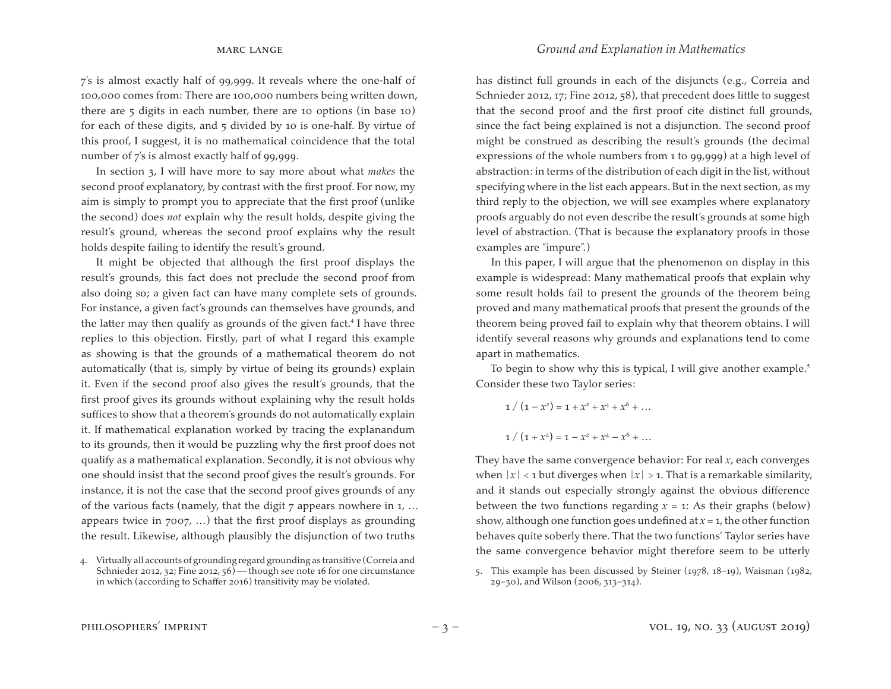7's is almost exactly half of 99,999. It reveals where the one-half of 100,000 comes from: There are 100,000 numbers being written down, there are 5 digits in each number, there are 10 options (in base 10) for each of these digits, and 5 divided by 10 is one-half. By virtue of this proof, I suggest, it is no mathematical coincidence that the total number of 7's is almost exactly half of 99,999.

In section 3, I will have more to say more about what *makes* the second proof explanatory, by contrast with the first proof. For now, my aim is simply to prompt you to appreciate that the first proof (unlike the second) does *not* explain why the result holds, despite giving the result's ground, whereas the second proof explains why the result holds despite failing to identify the result's ground.

It might be objected that although the first proof displays the result's grounds, this fact does not preclude the second proof from also doing so; a given fact can have many complete sets of grounds. For instance, a given fact's grounds can themselves have grounds, and the latter may then qualify as grounds of the given fact.<sup>4</sup> I have three replies to this objection. Firstly, part of what I regard this example as showing is that the grounds of a mathematical theorem do not automatically (that is, simply by virtue of being its grounds) explain it. Even if the second proof also gives the result's grounds, that the first proof gives its grounds without explaining why the result holds suffices to show that a theorem's grounds do not automatically explain it. If mathematical explanation worked by tracing the explanandum to its grounds, then it would be puzzling why the first proof does not qualify as a mathematical explanation. Secondly, it is not obvious why one should insist that the second proof gives the result's grounds. For instance, it is not the case that the second proof gives grounds of any of the various facts (namely, that the digit 7 appears nowhere in 1, … appears twice in  $7007$ , ...) that the first proof displays as grounding the result. Likewise, although plausibly the disjunction of two truths

4. Virtually all accounts of grounding regard grounding as transitive (Correia and Schnieder 2012, 32; Fine 2012, 56) — though see note 16 for one circumstance in which (according to Schaffer 2016) transitivity may be violated.

has distinct full grounds in each of the disjuncts (e.g., Correia and Schnieder 2012, 17; Fine 2012, 58), that precedent does little to suggest that the second proof and the first proof cite distinct full grounds, since the fact being explained is not a disjunction. The second proof might be construed as describing the result's grounds (the decimal expressions of the whole numbers from 1 to 99,999) at a high level of abstraction: in terms of the distribution of each digit in the list, without specifying where in the list each appears. But in the next section, as my third reply to the objection, we will see examples where explanatory proofs arguably do not even describe the result's grounds at some high level of abstraction. (That is because the explanatory proofs in those examples are "impure".)

In this paper, I will argue that the phenomenon on display in this example is widespread: Many mathematical proofs that explain why some result holds fail to present the grounds of the theorem being proved and many mathematical proofs that present the grounds of the theorem being proved fail to explain why that theorem obtains. I will identify several reasons why grounds and explanations tend to come apart in mathematics.

To begin to show why this is typical, I will give another example.<sup>5</sup> Consider these two Taylor series:

 $1 / (1 - x^2) = 1 + x^2 + x^4 + x^6 + \dots$  $1 / (1 + x^2) = 1 - x^2 + x^4 - x^6 + \dots$ 

They have the same convergence behavior: For real *x*, each converges when  $|x| < 1$  but diverges when  $|x| > 1$ . That is a remarkable similarity, and it stands out especially strongly against the obvious difference between the two functions regarding  $x = 1$ : As their graphs (below) show, although one function goes undefined at  $x = 1$ , the other function behaves quite soberly there. That the two functions' Taylor series have the same convergence behavior might therefore seem to be utterly

<sup>5.</sup> This example has been discussed by Steiner (1978, 18−19), Waisman (1982, 29−30), and Wilson (2006, 313−314).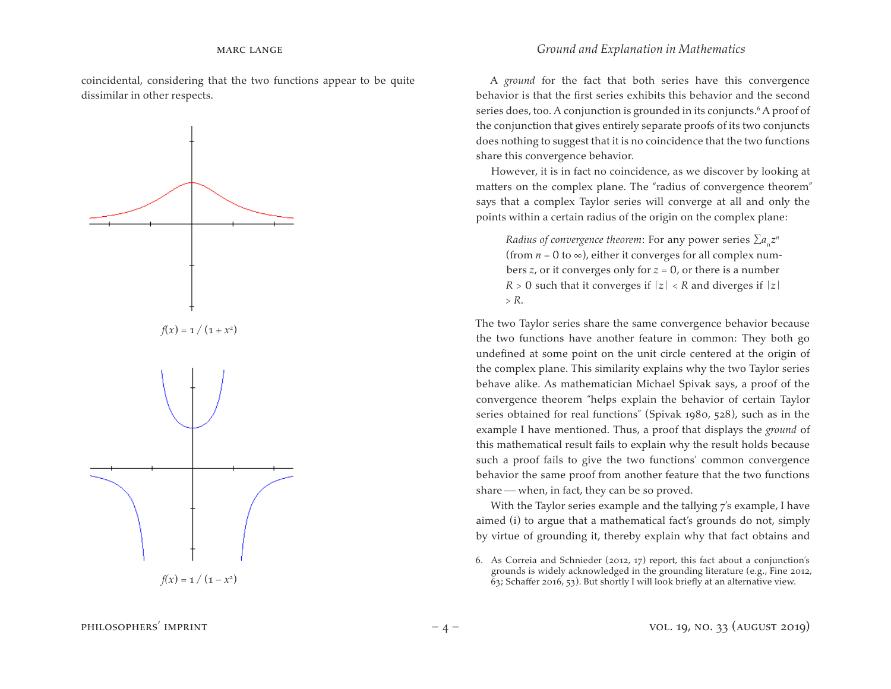coincidental, considering that the two functions appear to be quite dissimilar in other respects.



A *ground* for the fact that both series have this convergence behavior is that the first series exhibits this behavior and the second series does, too. A conjunction is grounded in its conjuncts.<sup>6</sup> A proof of the conjunction that gives entirely separate proofs of its two conjuncts does nothing to suggest that it is no coincidence that the two functions share this convergence behavior.

However, it is in fact no coincidence, as we discover by looking at matters on the complex plane. The "radius of convergence theorem" says that a complex Taylor series will converge at all and only the points within a certain radius of the origin on the complex plane:

*Radius of convergence theorem:* For any power series  $\sum a_n z^n$ (from  $n = 0$  to  $\infty$ ), either it converges for all complex numbers *z*, or it converges only for *z* = 0, or there is a number  $R > 0$  such that it converges if  $|z| < R$  and diverges if  $|z|$ > *R*.

The two Taylor series share the same convergence behavior because the two functions have another feature in common: They both go undefined at some point on the unit circle centered at the origin of the complex plane. This similarity explains why the two Taylor series behave alike. As mathematician Michael Spivak says, a proof of the convergence theorem "helps explain the behavior of certain Taylor series obtained for real functions" (Spivak 1980, 528), such as in the example I have mentioned. Thus, a proof that displays the *ground* of this mathematical result fails to explain why the result holds because such a proof fails to give the two functions' common convergence behavior the same proof from another feature that the two functions share  $-$  when, in fact, they can be so proved.

With the Taylor series example and the tallying 7's example, I have aimed (i) to argue that a mathematical fact's grounds do not, simply by virtue of grounding it, thereby explain why that fact obtains and

<sup>6.</sup> As Correia and Schnieder (2012, 17) report, this fact about a conjunction's grounds is widely acknowledged in the grounding literature (e.g., Fine 2012,  $63$ ; Schaffer 2016, 53). But shortly I will look briefly at an alternative view.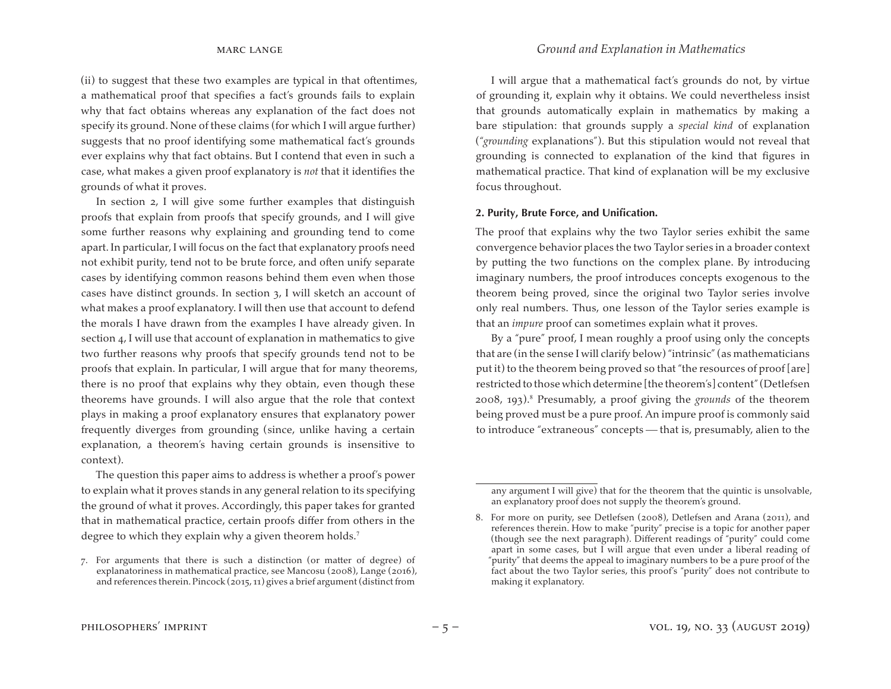(ii) to suggest that these two examples are typical in that oftentimes, a mathematical proof that specifies a fact's grounds fails to explain why that fact obtains whereas any explanation of the fact does not specify its ground. None of these claims (for which I will argue further) suggests that no proof identifying some mathematical fact's grounds ever explains why that fact obtains. But I contend that even in such a case, what makes a given proof explanatory is *not* that it identifies the grounds of what it proves.

In section 2, I will give some further examples that distinguish proofs that explain from proofs that specify grounds, and I will give some further reasons why explaining and grounding tend to come apart. In particular, I will focus on the fact that explanatory proofs need not exhibit purity, tend not to be brute force, and often unify separate cases by identifying common reasons behind them even when those cases have distinct grounds. In section 3, I will sketch an account of what makes a proof explanatory. I will then use that account to defend the morals I have drawn from the examples I have already given. In section 4, I will use that account of explanation in mathematics to give two further reasons why proofs that specify grounds tend not to be proofs that explain. In particular, I will argue that for many theorems, there is no proof that explains why they obtain, even though these theorems have grounds. I will also argue that the role that context plays in making a proof explanatory ensures that explanatory power frequently diverges from grounding (since, unlike having a certain explanation, a theorem's having certain grounds is insensitive to context).

The question this paper aims to address is whether a proof's power to explain what it proves stands in any general relation to its specifying the ground of what it proves. Accordingly, this paper takes for granted that in mathematical practice, certain proofs differ from others in the degree to which they explain why a given theorem holds.<sup>7</sup>

I will argue that a mathematical fact's grounds do not, by virtue of grounding it, explain why it obtains. We could nevertheless insist that grounds automatically explain in mathematics by making a bare stipulation: that grounds supply a *special kind* of explanation ("*grounding* explanations"). But this stipulation would not reveal that grounding is connected to explanation of the kind that figures in mathematical practice. That kind of explanation will be my exclusive focus throughout.

#### **2. Purity, Brute Force, and Unification.**

The proof that explains why the two Taylor series exhibit the same convergence behavior places the two Taylor series in a broader context by putting the two functions on the complex plane. By introducing imaginary numbers, the proof introduces concepts exogenous to the theorem being proved, since the original two Taylor series involve only real numbers. Thus, one lesson of the Taylor series example is that an *impure* proof can sometimes explain what it proves.

By a "pure" proof, I mean roughly a proof using only the concepts that are (in the sense I will clarify below)"intrinsic"(as mathematicians put it) to the theorem being proved so that "the resources of proof [are] restricted to those which determine [the theorem's] content" (Detlefsen 2008, 193).<sup>8</sup> Presumably, a proof giving the *grounds* of the theorem being proved must be a pure proof. An impure proof is commonly said to introduce "extraneous" concepts — that is, presumably, alien to the

<sup>7.</sup> For arguments that there is such a distinction (or matter of degree) of explanatoriness in mathematical practice, see Mancosu (2008), Lange (2016), and references therein. Pincock ( $2015, 11$ ) gives a brief argument (distinct from

any argument I will give) that for the theorem that the quintic is unsolvable, an explanatory proof does not supply the theorem's ground.

<sup>8.</sup> For more on purity, see Detlefsen (2008), Detlefsen and Arana (2011), and references therein. How to make "purity" precise is a topic for another paper (though see the next paragraph). Different readings of "purity" could come apart in some cases, but I will argue that even under a liberal reading of "purity" that deems the appeal to imaginary numbers to be a pure proof of the fact about the two Taylor series, this proof's "purity" does not contribute to making it explanatory.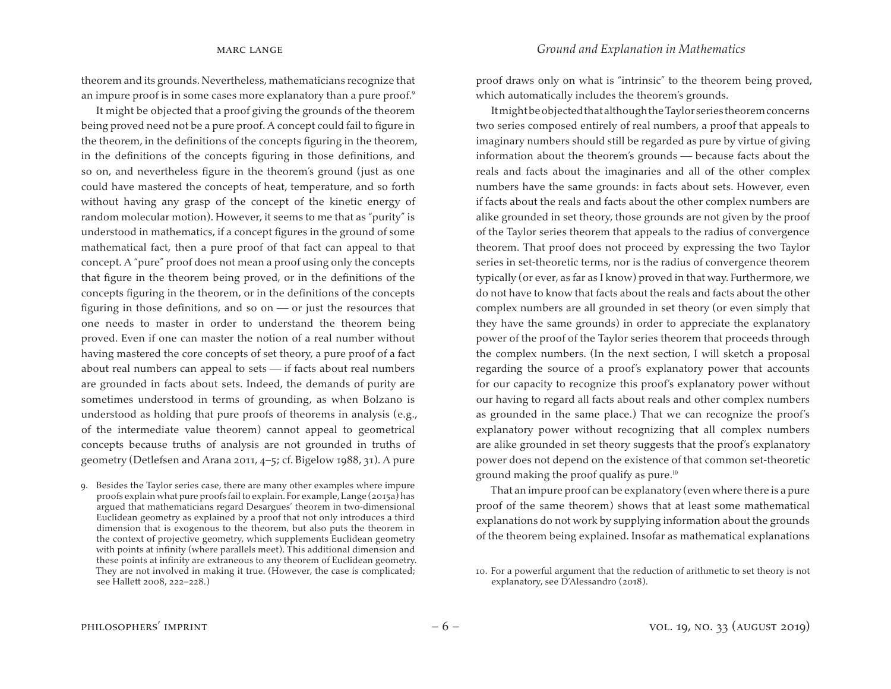theorem and its grounds. Nevertheless, mathematicians recognize that an impure proof is in some cases more explanatory than a pure proof.<sup>9</sup>

It might be objected that a proof giving the grounds of the theorem being proved need not be a pure proof. A concept could fail to figure in the theorem, in the definitions of the concepts figuring in the theorem, in the definitions of the concepts figuring in those definitions, and so on, and nevertheless figure in the theorem's ground (just as one could have mastered the concepts of heat, temperature, and so forth without having any grasp of the concept of the kinetic energy of random molecular motion). However, it seems to me that as "purity" is understood in mathematics, if a concept figures in the ground of some mathematical fact, then a pure proof of that fact can appeal to that concept. A "pure" proof does not mean a proof using only the concepts that figure in the theorem being proved, or in the definitions of the concepts figuring in the theorem, or in the definitions of the concepts figuring in those definitions, and so on  $-$  or just the resources that one needs to master in order to understand the theorem being proved. Even if one can master the notion of a real number without having mastered the core concepts of set theory, a pure proof of a fact about real numbers can appeal to sets  $-$  if facts about real numbers are grounded in facts about sets. Indeed, the demands of purity are sometimes understood in terms of grounding, as when Bolzano is understood as holding that pure proofs of theorems in analysis (e.g., of the intermediate value theorem) cannot appeal to geometrical concepts because truths of analysis are not grounded in truths of geometry (Detlefsen and Arana 2011, 4−5; cf. Bigelow 1988, 31). A pure

9. Besides the Taylor series case, there are many other examples where impure proofs explain what pure proofs failto explain.For example,Lange (2015a) has argued that mathematicians regard Desargues' theorem in two-dimensional Euclidean geometry as explained by a proof that not only introduces a third dimension that is exogenous to the theorem, but also puts the theorem in the context of projective geometry, which supplements Euclidean geometry with points at infinity (where parallels meet). This additional dimension and these points at infinity are extraneous to any theorem of Euclidean geometry. They are not involved in making it true. (However, the case is complicated; see Hallett 2008, 222−228.)

proof draws only on what is "intrinsic" to the theorem being proved, which automatically includes the theorem's grounds.

ItmightbeobjectedthatalthoughtheTaylorseriestheoremconcerns two series composed entirely of real numbers, a proof that appeals to imaginary numbers should still be regarded as pure by virtue of giving information about the theorem's grounds — because facts about the reals and facts about the imaginaries and all of the other complex numbers have the same grounds: in facts about sets. However, even if facts about the reals and facts about the other complex numbers are alike grounded in set theory, those grounds are not given by the proof of the Taylor series theorem that appeals to the radius of convergence theorem. That proof does not proceed by expressing the two Taylor series in set-theoretic terms, nor is the radius of convergence theorem typically (or ever, as far as I know) proved in that way. Furthermore, we do not have to know that facts about the reals and facts about the other complex numbers are all grounded in set theory (or even simply that they have the same grounds) in order to appreciate the explanatory power of the proof of the Taylor series theorem that proceeds through the complex numbers. (In the next section, I will sketch a proposal regarding the source of a proof's explanatory power that accounts for our capacity to recognize this proof's explanatory power without our having to regard all facts about reals and other complex numbers as grounded in the same place.) That we can recognize the proof's explanatory power without recognizing that all complex numbers are alike grounded in set theory suggests that the proof's explanatory power does not depend on the existence of that common set-theoretic ground making the proof qualify as pure.<sup>10</sup>

That an impure proof can be explanatory (even where there is a pure proof of the same theorem) shows that at least some mathematical explanations do not work by supplying information about the grounds of the theorem being explained. Insofar as mathematical explanations

<sup>10.</sup> For a powerful argument that the reduction of arithmetic to set theory is not explanatory, see D'Alessandro (2018).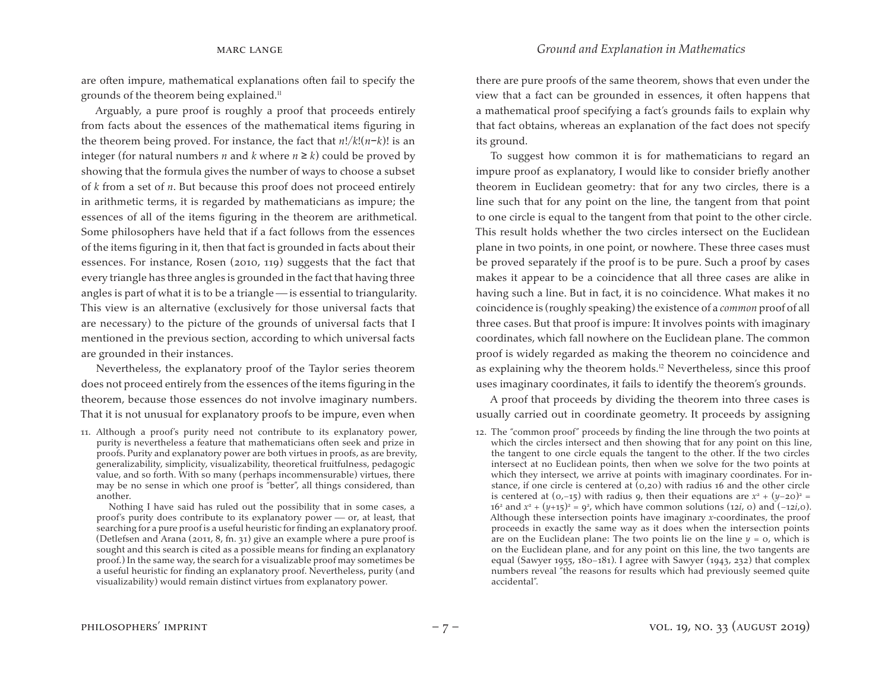are often impure, mathematical explanations often fail to specify the grounds of the theorem being explained.<sup>11</sup>

Arguably, a pure proof is roughly a proof that proceeds entirely from facts about the essences of the mathematical items figuring in the theorem being proved. For instance, the fact that *n*!/*k*!(*n*−*k*)! is an integer (for natural numbers *n* and *k* where  $n \ge k$ ) could be proved by showing that the formula gives the number of ways to choose a subset of *k* from a set of *n*. But because this proof does not proceed entirely in arithmetic terms, it is regarded by mathematicians as impure; the essences of all of the items figuring in the theorem are arithmetical. Some philosophers have held that if a fact follows from the essences of the items figuring in it, then that fact is grounded in facts about their essences. For instance, Rosen (2010, 119) suggests that the fact that every triangle has three angles is grounded in the fact that having three angles is part of what it is to be a triangle  $\frac{1}{1}$  is essential to triangularity. This view is an alternative (exclusively for those universal facts that are necessary) to the picture of the grounds of universal facts that I mentioned in the previous section, according to which universal facts are grounded in their instances.

Nevertheless, the explanatory proof of the Taylor series theorem does not proceed entirely from the essences of the items figuring in the theorem, because those essences do not involve imaginary numbers. That it is not unusual for explanatory proofs to be impure, even when

11. Although a proof's purity need not contribute to its explanatory power, purity is nevertheless a feature that mathematicians often seek and prize in proofs. Purity and explanatory power are both virtues in proofs, as are brevity, generalizability, simplicity, visualizability, theoretical fruitfulness, pedagogic value, and so forth. With so many (perhaps incommensurable) virtues, there may be no sense in which one proof is "better", all things considered, than another.

 Nothing I have said has ruled out the possibility that in some cases, a proof's purity does contribute to its explanatory power  $-$  or, at least, that searching for a pure proof is a useful heuristic for finding an explanatory proof. (Detlefsen and Arana (2011, 8, fn. 31) give an example where a pure proof is sought and this search is cited as a possible means for finding an explanatory proof.) In the same way, the search for a visualizable proof may sometimes be a useful heuristic for finding an explanatory proof. Nevertheless, purity (and visualizability) would remain distinct virtues from explanatory power.

there are pure proofs of the same theorem, shows that even under the view that a fact can be grounded in essences, it often happens that a mathematical proof specifying a fact's grounds fails to explain why that fact obtains, whereas an explanation of the fact does not specify its ground.

To suggest how common it is for mathematicians to regard an impure proof as explanatory, I would like to consider briefly another theorem in Euclidean geometry: that for any two circles, there is a line such that for any point on the line, the tangent from that point to one circle is equal to the tangent from that point to the other circle. This result holds whether the two circles intersect on the Euclidean plane in two points, in one point, or nowhere. These three cases must be proved separately if the proof is to be pure. Such a proof by cases makes it appear to be a coincidence that all three cases are alike in having such a line. But in fact, it is no coincidence. What makes it no coincidence is (roughly speaking) the existence of a *common* proof of all three cases. But that proof is impure: It involves points with imaginary coordinates, which fall nowhere on the Euclidean plane. The common proof is widely regarded as making the theorem no coincidence and as explaining why the theorem holds.<sup>12</sup> Nevertheless, since this proof uses imaginary coordinates, it fails to identify the theorem's grounds.

A proof that proceeds by dividing the theorem into three cases is usually carried out in coordinate geometry. It proceeds by assigning

12. The "common proof" proceeds by finding the line through the two points at which the circles intersect and then showing that for any point on this line, the tangent to one circle equals the tangent to the other. If the two circles intersect at no Euclidean points, then when we solve for the two points at which they intersect, we arrive at points with imaginary coordinates. For instance, if one circle is centered at (0,20) with radius 16 and the other circle is centered at (0,−15) with radius 9, then their equations are  $x^2 + (y-20)^2 =$ 16<sup>2</sup> and  $x^2 + (y+15)^2 = 9^2$ , which have common solutions (12*i*, 0) and (−12*i*,0). Although these intersection points have imaginary *x*-coordinates, the proof proceeds in exactly the same way as it does when the intersection points are on the Euclidean plane: The two points lie on the line  $y = 0$ , which is on the Euclidean plane, and for any point on this line, the two tangents are equal (Sawyer 1955, 180−181). I agree with Sawyer (1943, 232) that complex numbers reveal "the reasons for results which had previously seemed quite accidental".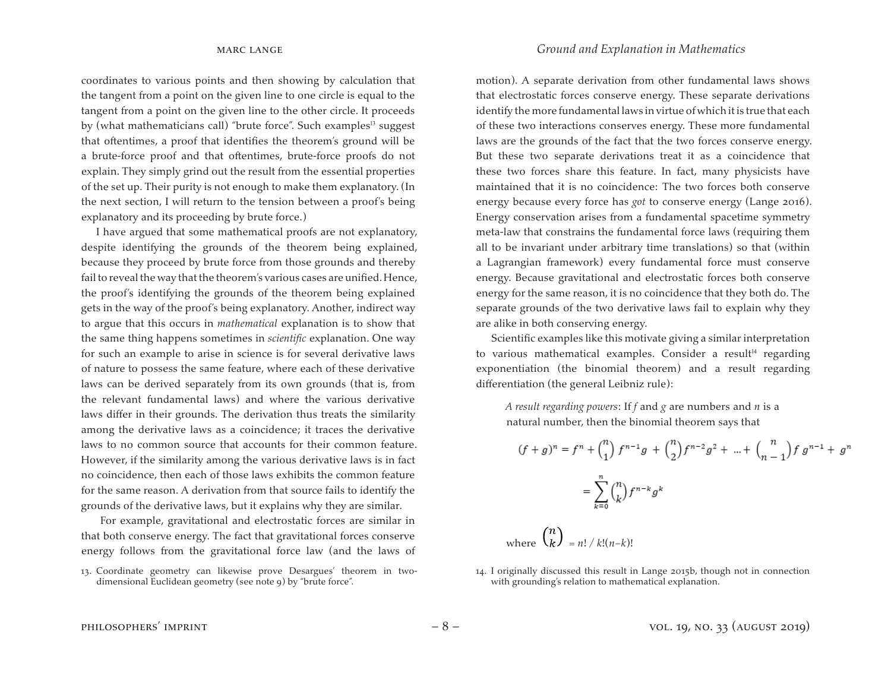coordinates to various points and then showing by calculation that the tangent from a point on the given line to one circle is equal to the tangent from a point on the given line to the other circle. It proceeds by (what mathematicians call) "brute force". Such examples<sup>13</sup> suggest that oftentimes, a proof that identifies the theorem's ground will be a brute-force proof and that oftentimes, brute-force proofs do not explain. They simply grind out the result from the essential properties of the set up. Their purity is not enough to make them explanatory. (In the next section, I will return to the tension between a proof's being explanatory and its proceeding by brute force.)

I have argued that some mathematical proofs are not explanatory, despite identifying the grounds of the theorem being explained, because they proceed by brute force from those grounds and thereby fail to reveal the way that the theorem's various cases are unified. Hence, the proof's identifying the grounds of the theorem being explained gets in the way of the proof's being explanatory. Another, indirect way to argue that this occurs in *mathematical* explanation is to show that the same thing happens sometimes in *scientific* explanation. One way for such an example to arise in science is for several derivative laws of nature to possess the same feature, where each of these derivative laws can be derived separately from its own grounds (that is, from the relevant fundamental laws) and where the various derivative laws differ in their grounds. The derivation thus treats the similarity among the derivative laws as a coincidence; it traces the derivative laws to no common source that accounts for their common feature. However, if the similarity among the various derivative laws is in fact no coincidence, then each of those laws exhibits the common feature for the same reason. A derivation from that source fails to identify the grounds of the derivative laws, but it explains why they are similar.

For example, gravitational and electrostatic forces are similar in that both conserve energy. The fact that gravitational forces conserve energy follows from the gravitational force law (and the laws of motion). A separate derivation from other fundamental laws shows that electrostatic forces conserve energy. These separate derivations identify the more fundamental laws in virtue of which it is true that each of these two interactions conserves energy. These more fundamental laws are the grounds of the fact that the two forces conserve energy. But these two separate derivations treat it as a coincidence that these two forces share this feature. In fact, many physicists have maintained that it is no coincidence: The two forces both conserve energy because every force has *got* to conserve energy (Lange 2016). Energy conservation arises from a fundamental spacetime symmetry meta-law that constrains the fundamental force laws (requiring them all to be invariant under arbitrary time translations) so that (within a Lagrangian framework) every fundamental force must conserve energy. Because gravitational and electrostatic forces both conserve energy for the same reason, it is no coincidence that they both do. The separate grounds of the two derivative laws fail to explain why they are alike in both conserving energy.

Scientific examples like this motivate giving a similar interpretation to various mathematical examples. Consider a result<sup>14</sup> regarding exponentiation (the binomial theorem) and a result regarding differentiation (the general Leibniz rule):

*A result regarding powers*: If *f* and *g* are numbers and *n* is a natural number, then the binomial theorem says that

$$
(f+g)^n = f^n + {n \choose 1} f^{n-1}g + {n \choose 2} f^{n-2}g^2 + \dots + {n \choose n-1} f g^{n-1} + g^n
$$

$$
= \sum_{k=0}^n {n \choose k} f^{n-k} g^k
$$

$$
(n)
$$

where  $\left\{ k \right\} = n! / k! (n-k)!$ 

14. I originally discussed this result in Lange 2015b, though not in connection with grounding's relation to mathematical explanation.

<sup>13.</sup> Coordinate geometry can likewise prove Desargues' theorem in twodimensional Euclidean geometry (see note 9) by "brute force".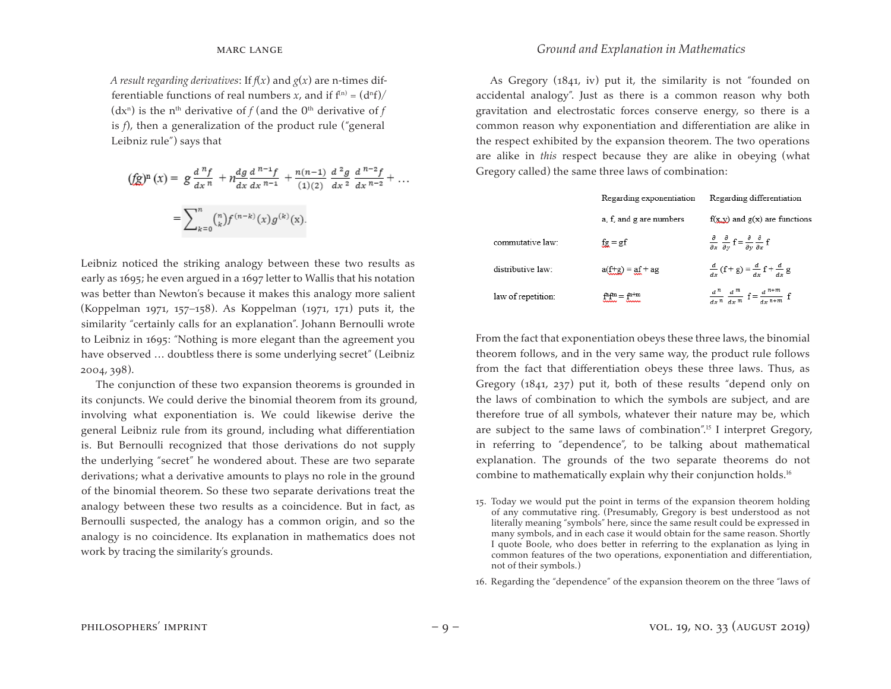*A result regarding derivatives:* If  $f(x)$  and  $g(x)$  are n-times differentiable functions of real numbers *x*, and if  $f<sup>(n)</sup> = (d<sup>n</sup>f)/$ (dx<sup>n</sup>) is the n<sup>th</sup> derivative of *f* (and the 0<sup>th</sup> derivative of *f* is *f*), then a generalization of the product rule ("general Leibniz rule") says that

$$
\begin{aligned} \text{(fg)}^n(x) &= g \frac{d^n f}{dx^n} + n \frac{dg}{dx} \frac{d^{n-1} f}{dx^{n-1}} + \frac{n(n-1)}{(1)(2)} \frac{d^2 g}{dx^2} \frac{d^{n-2} f}{dx^{n-2}} + \dots \\ &= \sum_{k=0}^n \binom{n}{k} f^{(n-k)}(x) g^{(k)}(x). \end{aligned}
$$

Leibniz noticed the striking analogy between these two results as early as 1695; he even argued in a 1697 letter to Wallis that his notation was better than Newton's because it makes this analogy more salient (Koppelman 1971, 157−158). As Koppelman (1971, 171) puts it, the similarity "certainly calls for an explanation". Johann Bernoulli wrote to Leibniz in 1695: "Nothing is more elegant than the agreement you have observed ... doubtless there is some underlying secret" (Leibniz 2004, 398).

The conjunction of these two expansion theorems is grounded in its conjuncts. We could derive the binomial theorem from its ground, involving what exponentiation is. We could likewise derive the general Leibniz rule from its ground, including what differentiation is. But Bernoulli recognized that those derivations do not supply the underlying "secret" he wondered about. These are two separate derivations; what a derivative amounts to plays no role in the ground of the binomial theorem. So these two separate derivations treat the analogy between these two results as a coincidence. But in fact, as Bernoulli suspected, the analogy has a common origin, and so the analogy is no coincidence. Its explanation in mathematics does not work by tracing the similarity's grounds.

As Gregory (1841, iv) put it, the similarity is not "founded on accidental analogy". Just as there is a common reason why both gravitation and electrostatic forces conserve energy, so there is a common reason why exponentiation and differentiation are alike in the respect exhibited by the expansion theorem. The two operations are alike in *this* respect because they are alike in obeying (what Gregory called) the same three laws of combination:

|                    | Regarding exponentiation | Regarding differentiation                                                                                                   |
|--------------------|--------------------------|-----------------------------------------------------------------------------------------------------------------------------|
|                    | a, f, and g are numbers  | $f(x,y)$ and $g(x)$ are functions                                                                                           |
| commutative law:   | $fg = gf$                | $\frac{\partial}{\partial x}$ $\frac{\partial}{\partial y}$ $f = \frac{\partial}{\partial y} \frac{\partial}{\partial x} f$ |
| distributive law:  | $a(f+g) = af + ag$       | $\frac{d}{dx}$ (f + g) = $\frac{d}{dx}$ f + $\frac{d}{dx}$ g                                                                |
| law of repetition: | $fthfm = fn+m$           | $\frac{d^n}{dx^n} \frac{d^m}{dx^m} f = \frac{d^{n+m}}{dx^{n+m}} f$                                                          |

From the fact that exponentiation obeys these three laws, the binomial theorem follows, and in the very same way, the product rule follows from the fact that differentiation obeys these three laws. Thus, as Gregory (1841, 237) put it, both of these results "depend only on the laws of combination to which the symbols are subject, and are therefore true of all symbols, whatever their nature may be, which are subject to the same laws of combination".<sup>15</sup> I interpret Gregory, in referring to "dependence", to be talking about mathematical explanation. The grounds of the two separate theorems do not combine to mathematically explain why their conjunction holds.<sup>16</sup>

- 15. Today we would put the point in terms of the expansion theorem holding of any commutative ring. (Presumably, Gregory is best understood as not literally meaning "symbols" here, since the same result could be expressed in many symbols, and in each case it would obtain for the same reason. Shortly I quote Boole, who does better in referring to the explanation as lying in common features of the two operations, exponentiation and differentiation, not of their symbols.)
- 16. Regarding the "dependence" of the expansion theorem on the three "laws of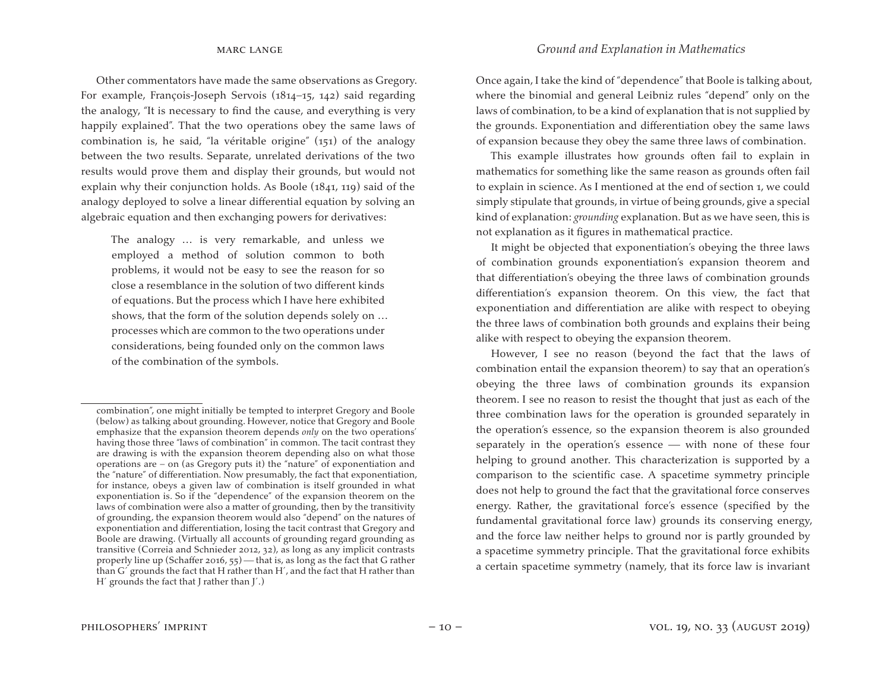Other commentators have made the same observations as Gregory. For example, François-Joseph Servois (1814−15, 142) said regarding the analogy, "It is necessary to find the cause, and everything is very happily explained". That the two operations obey the same laws of combination is, he said, "la véritable origine" (151) of the analogy between the two results. Separate, unrelated derivations of the two results would prove them and display their grounds, but would not explain why their conjunction holds. As Boole (1841, 119) said of the analogy deployed to solve a linear differential equation by solving an algebraic equation and then exchanging powers for derivatives:

The analogy … is very remarkable, and unless we employed a method of solution common to both problems, it would not be easy to see the reason for so close a resemblance in the solution of two different kinds of equations. But the process which I have here exhibited shows, that the form of the solution depends solely on … processes which are common to the two operations under considerations, being founded only on the common laws of the combination of the symbols.

Once again, I take the kind of "dependence" that Boole is talking about, where the binomial and general Leibniz rules "depend" only on the laws of combination, to be a kind of explanation that is not supplied by the grounds. Exponentiation and differentiation obey the same laws of expansion because they obey the same three laws of combination.

This example illustrates how grounds often fail to explain in mathematics for something like the same reason as grounds often fail to explain in science. As I mentioned at the end of section 1, we could simply stipulate that grounds, in virtue of being grounds, give a special kind of explanation: *grounding* explanation. But as we have seen, this is not explanation as it figures in mathematical practice.

It might be objected that exponentiation's obeying the three laws of combination grounds exponentiation's expansion theorem and that differentiation's obeying the three laws of combination grounds differentiation's expansion theorem. On this view, the fact that exponentiation and differentiation are alike with respect to obeying the three laws of combination both grounds and explains their being alike with respect to obeying the expansion theorem.

However, I see no reason (beyond the fact that the laws of combination entail the expansion theorem) to say that an operation's obeying the three laws of combination grounds its expansion theorem. I see no reason to resist the thought that just as each of the three combination laws for the operation is grounded separately in the operation's essence, so the expansion theorem is also grounded separately in the operation's essence  $-$  with none of these four helping to ground another. This characterization is supported by a comparison to the scientific case. A spacetime symmetry principle does not help to ground the fact that the gravitational force conserves energy. Rather, the gravitational force's essence (specified by the fundamental gravitational force law) grounds its conserving energy, and the force law neither helps to ground nor is partly grounded by a spacetime symmetry principle. That the gravitational force exhibits a certain spacetime symmetry (namely, that its force law is invariant

combination", one might initially be tempted to interpret Gregory and Boole (below) as talking about grounding. However, notice that Gregory and Boole emphasize that the expansion theorem depends *only* on the two operations' having those three "laws of combination" in common. The tacit contrast they are drawing is with the expansion theorem depending also on what those operations are − on (as Gregory puts it) the "nature" of exponentiation and the "nature" of differentiation. Now presumably, the fact that exponentiation, for instance, obeys a given law of combination is itself grounded in what exponentiation is. So if the "dependence" of the expansion theorem on the laws of combination were also a matter of grounding, then by the transitivity of grounding, the expansion theorem would also "depend" on the natures of exponentiation and differentiation, losing the tacit contrast that Gregory and Boole are drawing. (Virtually all accounts of grounding regard grounding as transitive (Correia and Schnieder 2012, 32), as long as any implicit contrasts properly line up (Schaffer 2016,  $55$ ) — that is, as long as the fact that G rather than G´ grounds the fact that H rather than H´, and the fact that H rather than H´ grounds the fact that J rather than J´.)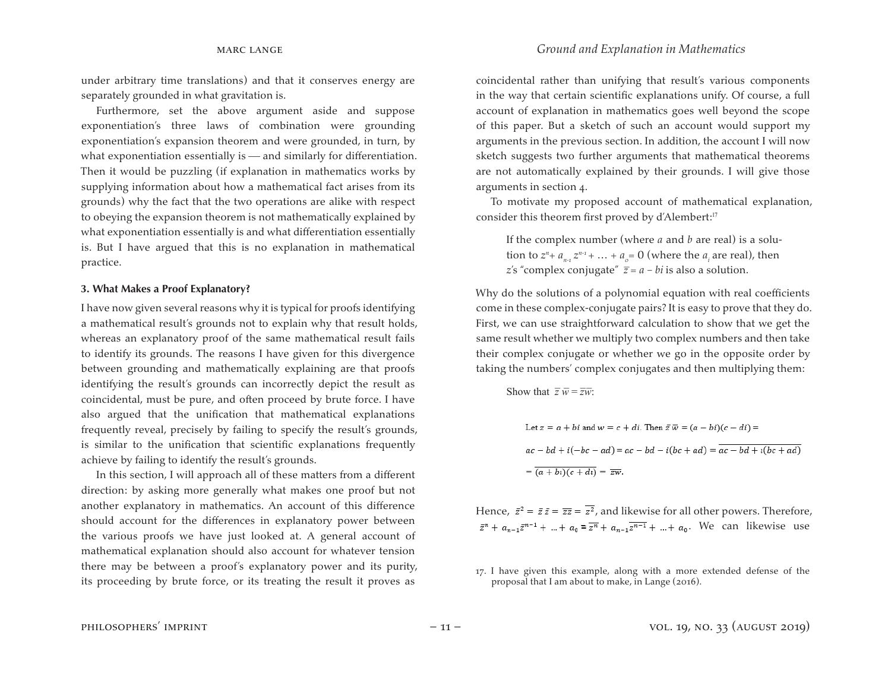under arbitrary time translations) and that it conserves energy are separately grounded in what gravitation is.

Furthermore, set the above argument aside and suppose exponentiation's three laws of combination were grounding exponentiation's expansion theorem and were grounded, in turn, by what exponentiation essentially is  $-$  and similarly for differentiation. Then it would be puzzling (if explanation in mathematics works by supplying information about how a mathematical fact arises from its grounds) why the fact that the two operations are alike with respect to obeying the expansion theorem is not mathematically explained by what exponentiation essentially is and what differentiation essentially is. But I have argued that this is no explanation in mathematical practice.

#### **3. What Makes a Proof Explanatory?**

I have now given several reasons why it is typical for proofs identifying a mathematical result's grounds not to explain why that result holds, whereas an explanatory proof of the same mathematical result fails to identify its grounds. The reasons I have given for this divergence between grounding and mathematically explaining are that proofs identifying the result's grounds can incorrectly depict the result as coincidental, must be pure, and often proceed by brute force. I have also argued that the unification that mathematical explanations frequently reveal, precisely by failing to specify the result's grounds, is similar to the unification that scientific explanations frequently achieve by failing to identify the result's grounds.

In this section, I will approach all of these matters from a different direction: by asking more generally what makes one proof but not another explanatory in mathematics. An account of this difference should account for the differences in explanatory power between the various proofs we have just looked at. A general account of mathematical explanation should also account for whatever tension there may be between a proof's explanatory power and its purity, its proceeding by brute force, or its treating the result it proves as

coincidental rather than unifying that result's various components in the way that certain scientific explanations unify. Of course, a full account of explanation in mathematics goes well beyond the scope of this paper. But a sketch of such an account would support my arguments in the previous section. In addition, the account I will now sketch suggests two further arguments that mathematical theorems are not automatically explained by their grounds. I will give those arguments in section 4.

To motivate my proposed account of mathematical explanation, consider this theorem first proved by d'Alembert:<sup>17</sup>

If the complex number (where *a* and *b* are real) is a solution to  $z^n$ +  $a_{n-1}$   $z^{n-1}$  +  $\dots$  +  $a_o$ = 0 (where the  $a_i$  are real), then *z*'s "complex conjugate"  $\overline{z} = a - bi$  is also a solution.

Why do the solutions of a polynomial equation with real coefficients come in these complex-conjugate pairs? It is easy to prove that they do. First, we can use straightforward calculation to show that we get the same result whether we multiply two complex numbers and then take their complex conjugate or whether we go in the opposite order by taking the numbers' complex conjugates and then multiplying them:

Show that  $\overline{z} \overline{w} = \overline{z} \overline{w}$ :

Let 
$$
z = a + bi
$$
 and  $w = c + di$ . Then  $\overline{z} \overline{w} = (a - bi)(c - di) =$   
\n
$$
ac - bd + i(-bc - ad) = ac - bd - i(bc + ad) = \overline{ac - bd + i(bc + ad)}
$$
\n
$$
= \overline{(a + bi)(c + di)} = \overline{zw}.
$$

Hence,  $\bar{z}^2 = \bar{z}\bar{z} = \bar{z}\bar{z} = \bar{z}^2$ , and likewise for all other powers. Therefore,  $\bar{z}^n + a_{n-1}\bar{z}^{n-1} + ... + a_0 = \bar{z}^n + a_{n-1}\bar{z}^{n-1} + ... + a_0$ . We can likewise use

<sup>17.</sup> I have given this example, along with a more extended defense of the proposal that I am about to make, in Lange (2016).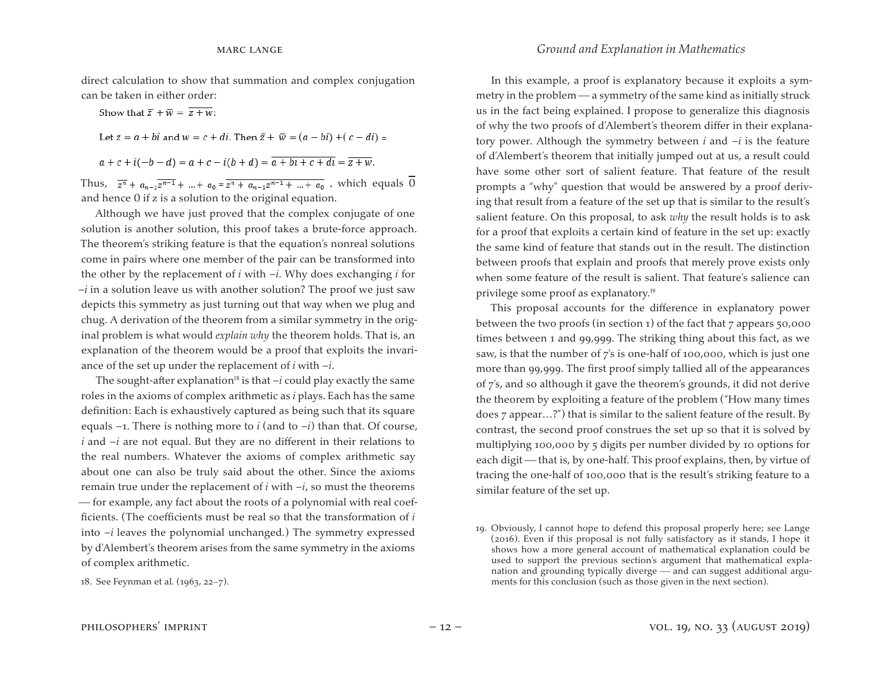direct calculation to show that summation and complex conjugation can be taken in either order:

Show that  $\overline{z} + \overline{w} = \overline{z+w}$ : Let  $z = a + bi$  and  $w = c + di$ . Then  $\bar{z} + \bar{w} = (a - bi) + (c - di) =$  $a + c + i(-b - d) = a + c - i(b + d) = a + bi + c + d$ 

Thus,  $\overline{z^n} + a_{n-1} \overline{z^{n-1}} + ... + a_0 = \overline{z^n + a_{n-1} z^{n-1} + ... + a_0}$ , which equals  $\overline{0}$ and hence 0 if z is a solution to the original equation.

Although we have just proved that the complex conjugate of one solution is another solution, this proof takes a brute-force approach. The theorem's striking feature is that the equation's nonreal solutions come in pairs where one member of the pair can be transformed into the other by the replacement of *i* with –*i*. Why does exchanging *i* for –*i* in a solution leave us with another solution? The proof we just saw depicts this symmetry as just turning out that way when we plug and chug. A derivation of the theorem from a similar symmetry in the original problem is what would *explain why* the theorem holds. That is, an explanation of the theorem would be a proof that exploits the invariance of the set up under the replacement of *i* with –*i*.

The sought-after explanation<sup>18</sup> is that  $-i$  could play exactly the same roles in the axioms of complex arithmetic as *i* plays. Each has the same definition: Each is exhaustively captured as being such that its square equals  $-1$ . There is nothing more to *i* (and to  $-i$ ) than that. Of course, *i* and –*i* are not equal. But they are no different in their relations to the real numbers. Whatever the axioms of complex arithmetic say about one can also be truly said about the other. Since the axioms remain true under the replacement of  $i$  with  $-i$ , so must the theorems  $f$  for example, any fact about the roots of a polynomial with real coefficients. (The coefficients must be real so that the transformation of *i*  into –*i* leaves the polynomial unchanged.) The symmetry expressed by d'Alembert's theorem arises from the same symmetry in the axioms of complex arithmetic.

#### marc lange *Ground and Explanation in Mathematics*

In this example, a proof is explanatory because it exploits a symmetry in the problem — a symmetry of the same kind as initially struck us in the fact being explained. I propose to generalize this diagnosis of why the two proofs of d'Alembert's theorem differ in their explanatory power. Although the symmetry between *i* and –*i* is the feature of d'Alembert's theorem that initially jumped out at us, a result could have some other sort of salient feature. That feature of the result prompts a "why" question that would be answered by a proof deriving that result from a feature of the set up that is similar to the result's salient feature. On this proposal, to ask *why* the result holds is to ask for a proof that exploits a certain kind of feature in the set up: exactly the same kind of feature that stands out in the result. The distinction between proofs that explain and proofs that merely prove exists only when some feature of the result is salient. That feature's salience can privilege some proof as explanatory.<sup>19</sup>

This proposal accounts for the difference in explanatory power between the two proofs (in section 1) of the fact that 7 appears 50,000 times between 1 and 99,999. The striking thing about this fact, as we saw, is that the number of 7's is one-half of 100,000, which is just one more than 99,999. The first proof simply tallied all of the appearances of 7's, and so although it gave the theorem's grounds, it did not derive the theorem by exploiting a feature of the problem ("How many times does 7 appear…?") that is similar to the salient feature of the result. By contrast, the second proof construes the set up so that it is solved by multiplying 100,000 by 5 digits per number divided by 10 options for each digit - that is, by one-half. This proof explains, then, by virtue of tracing the one-half of 100,000 that is the result's striking feature to a similar feature of the set up.

<sup>18.</sup> See Feynman et al*.* (1963, 22−7).

<sup>19.</sup> Obviously, I cannot hope to defend this proposal properly here; see Lange (2016). Even if this proposal is not fully satisfactory as it stands, I hope it shows how a more general account of mathematical explanation could be used to support the previous section's argument that mathematical explanation and grounding typically diverge — and can suggest additional arguments for this conclusion (such as those given in the next section).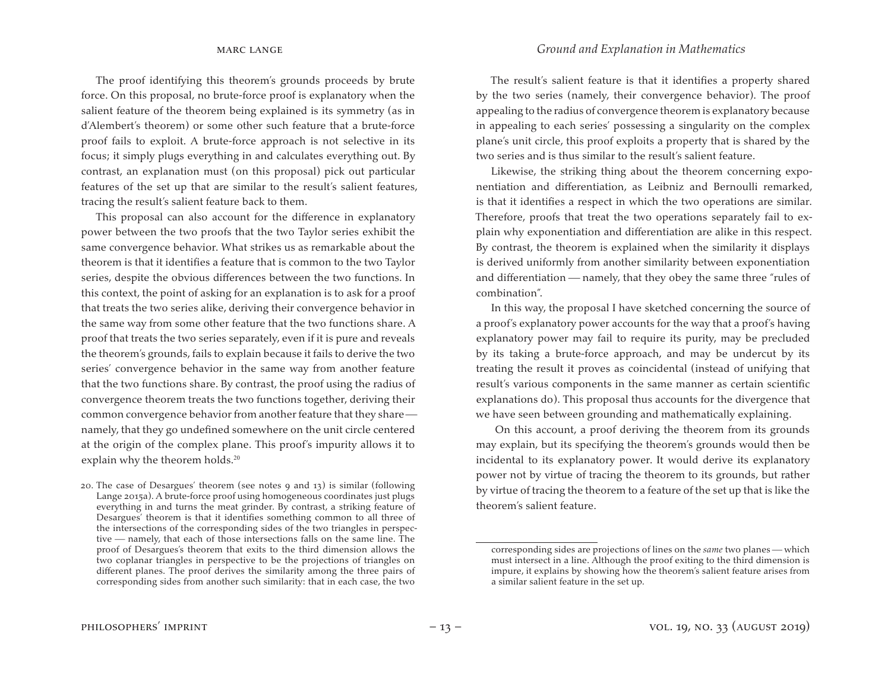The proof identifying this theorem's grounds proceeds by brute force. On this proposal, no brute-force proof is explanatory when the salient feature of the theorem being explained is its symmetry (as in d'Alembert's theorem) or some other such feature that a brute-force proof fails to exploit. A brute-force approach is not selective in its focus; it simply plugs everything in and calculates everything out. By contrast, an explanation must (on this proposal) pick out particular features of the set up that are similar to the result's salient features, tracing the result's salient feature back to them.

This proposal can also account for the difference in explanatory power between the two proofs that the two Taylor series exhibit the same convergence behavior. What strikes us as remarkable about the theorem is that it identifies a feature that is common to the two Taylor series, despite the obvious differences between the two functions. In this context, the point of asking for an explanation is to ask for a proof that treats the two series alike, deriving their convergence behavior in the same way from some other feature that the two functions share. A proof that treats the two series separately, even if it is pure and reveals the theorem's grounds, fails to explain because it fails to derive the two series' convergence behavior in the same way from another feature that the two functions share. By contrast, the proof using the radius of convergence theorem treats the two functions together, deriving their common convergence behavior from another feature that they share namely, that they go undefined somewhere on the unit circle centered at the origin of the complex plane. This proof's impurity allows it to explain why the theorem holds.<sup>20</sup>

20. The case of Desargues' theorem (see notes 9 and  $13$ ) is similar (following Lange 2015a). A brute-force proof using homogeneous coordinates just plugs everything in and turns the meat grinder. By contrast, a striking feature of Desargues' theorem is that it identifies something common to all three of the intersections of the corresponding sides of the two triangles in perspective namely, that each of those intersections falls on the same line. The proof of Desargues's theorem that exits to the third dimension allows the two coplanar triangles in perspective to be the projections of triangles on different planes. The proof derives the similarity among the three pairs of corresponding sides from another such similarity: that in each case, the two

The result's salient feature is that it identifies a property shared by the two series (namely, their convergence behavior). The proof appealing to the radius of convergence theorem is explanatory because in appealing to each series' possessing a singularity on the complex plane's unit circle, this proof exploits a property that is shared by the two series and is thus similar to the result's salient feature.

Likewise, the striking thing about the theorem concerning exponentiation and differentiation, as Leibniz and Bernoulli remarked, is that it identifies a respect in which the two operations are similar. Therefore, proofs that treat the two operations separately fail to explain why exponentiation and differentiation are alike in this respect. By contrast, the theorem is explained when the similarity it displays is derived uniformly from another similarity between exponentiation and differentiation — namely, that they obey the same three "rules of combination".

In this way, the proposal I have sketched concerning the source of a proof's explanatory power accounts for the way that a proof's having explanatory power may fail to require its purity, may be precluded by its taking a brute-force approach, and may be undercut by its treating the result it proves as coincidental (instead of unifying that result's various components in the same manner as certain scientific explanations do). This proposal thus accounts for the divergence that we have seen between grounding and mathematically explaining.

On this account, a proof deriving the theorem from its grounds may explain, but its specifying the theorem's grounds would then be incidental to its explanatory power. It would derive its explanatory power not by virtue of tracing the theorem to its grounds, but rather by virtue of tracing the theorem to a feature of the set up that is like the theorem's salient feature.

corresponding sides are projections of lines on the *same* two planes — which must intersect in a line. Although the proof exiting to the third dimension is impure, it explains by showing how the theorem's salient feature arises from a similar salient feature in the set up.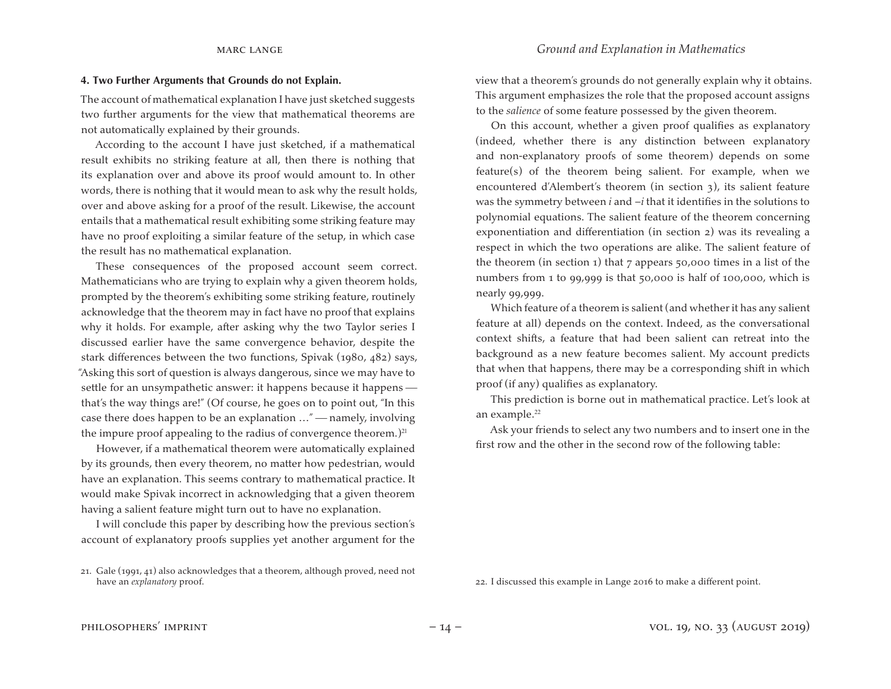#### marc lange *Ground and Explanation in Mathematics*

#### **4. Two Further Arguments that Grounds do not Explain.**

The account of mathematical explanation I have just sketched suggests two further arguments for the view that mathematical theorems are not automatically explained by their grounds.

According to the account I have just sketched, if a mathematical result exhibits no striking feature at all, then there is nothing that its explanation over and above its proof would amount to. In other words, there is nothing that it would mean to ask why the result holds, over and above asking for a proof of the result. Likewise, the account entails that a mathematical result exhibiting some striking feature may have no proof exploiting a similar feature of the setup, in which case the result has no mathematical explanation.

These consequences of the proposed account seem correct. Mathematicians who are trying to explain why a given theorem holds, prompted by the theorem's exhibiting some striking feature, routinely acknowledge that the theorem may in fact have no proof that explains why it holds. For example, after asking why the two Taylor series I discussed earlier have the same convergence behavior, despite the stark differences between the two functions, Spivak (1980, 482) says, "Asking this sort of question is always dangerous, since we may have to settle for an unsympathetic answer: it happens because it happens that's the way things are!" (Of course, he goes on to point out, "In this case there does happen to be an explanation ..." — namely, involving the impure proof appealing to the radius of convergence theorem.)<sup>21</sup>

However, if a mathematical theorem were automatically explained by its grounds, then every theorem, no matter how pedestrian, would have an explanation. This seems contrary to mathematical practice. It would make Spivak incorrect in acknowledging that a given theorem having a salient feature might turn out to have no explanation.

I will conclude this paper by describing how the previous section's account of explanatory proofs supplies yet another argument for the view that a theorem's grounds do not generally explain why it obtains. This argument emphasizes the role that the proposed account assigns to the *salience* of some feature possessed by the given theorem.

On this account, whether a given proof qualifies as explanatory (indeed, whether there is any distinction between explanatory and non-explanatory proofs of some theorem) depends on some feature(s) of the theorem being salient. For example, when we encountered d'Alembert's theorem (in section 3), its salient feature was the symmetry between *i* and –*i* that it identifies in the solutions to polynomial equations. The salient feature of the theorem concerning exponentiation and differentiation (in section 2) was its revealing a respect in which the two operations are alike. The salient feature of the theorem (in section 1) that 7 appears 50,000 times in a list of the numbers from 1 to 99,999 is that 50,000 is half of 100,000, which is nearly 99,999.

Which feature of a theorem is salient (and whether it has any salient feature at all) depends on the context. Indeed, as the conversational context shifts, a feature that had been salient can retreat into the background as a new feature becomes salient. My account predicts that when that happens, there may be a corresponding shift in which proof (if any) qualifies as explanatory.

This prediction is borne out in mathematical practice. Let's look at an example.<sup>22</sup>

Ask your friends to select any two numbers and to insert one in the first row and the other in the second row of the following table:

22. I discussed this example in Lange 2016 to make a different point.

<sup>21.</sup> Gale (1991, 41) also acknowledges that a theorem, although proved, need not have an *explanatory* proof.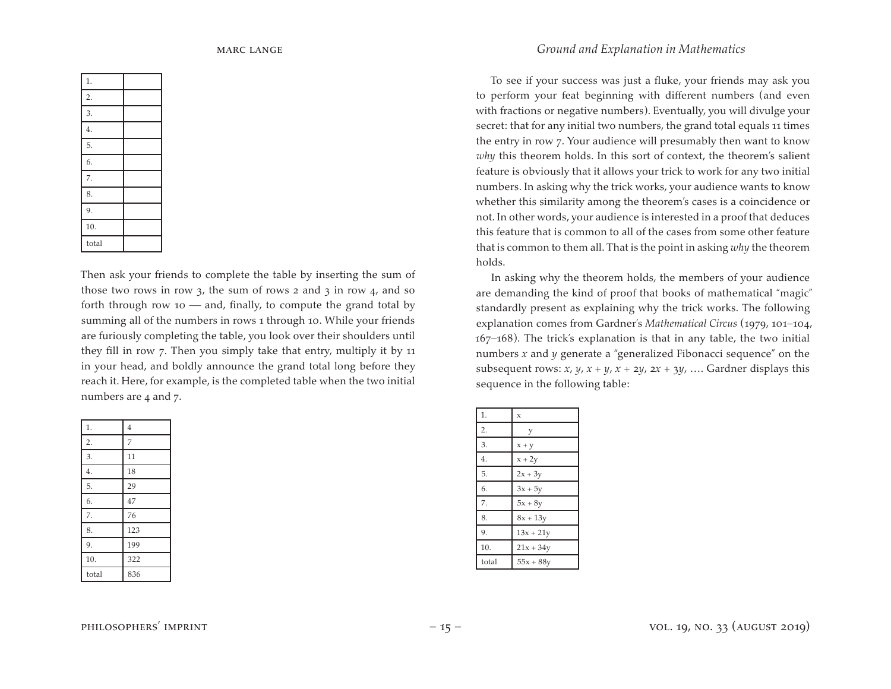| 1.               |  |
|------------------|--|
| $\overline{2}$ . |  |
| 3.               |  |
| $\overline{4}$ . |  |
| 5.               |  |
| 6.               |  |
| 7.               |  |
| 8.               |  |
| 9.               |  |
| 10.              |  |
| total            |  |

Then ask your friends to complete the table by inserting the sum of those two rows in row  $3$ , the sum of rows  $2$  and  $3$  in row  $4$ , and so forth through row 10  $-$  and, finally, to compute the grand total by summing all of the numbers in rows 1 through 10. While your friends are furiously completing the table, you look over their shoulders until they fill in row 7. Then you simply take that entry, multiply it by 11 in your head, and boldly announce the grand total long before they reach it. Here, for example, is the completed table when the two initial numbers are 4 and 7.

| 1.               | $\overline{4}$ |
|------------------|----------------|
| $\overline{2}$ . | 7              |
| 3.               | 11             |
| 4.               | 18             |
| 5.               | 29             |
| 6.               | 47             |
| 7.               | 76             |
| 8.               | 123            |
| 9.               | 199            |
| 10.              | 322            |
| total            | 836            |

#### marc lange *Ground and Explanation in Mathematics*

To see if your success was just a fluke, your friends may ask you to perform your feat beginning with different numbers (and even with fractions or negative numbers). Eventually, you will divulge your secret: that for any initial two numbers, the grand total equals 11 times the entry in row 7. Your audience will presumably then want to know *why* this theorem holds. In this sort of context, the theorem's salient feature is obviously that it allows your trick to work for any two initial numbers. In asking why the trick works, your audience wants to know whether this similarity among the theorem's cases is a coincidence or not. In other words, your audience is interested in a proof that deduces this feature that is common to all of the cases from some other feature that is common to them all. That is the point in asking *why* the theorem holds.

In asking why the theorem holds, the members of your audience are demanding the kind of proof that books of mathematical "magic" standardly present as explaining why the trick works. The following explanation comes from Gardner's *Mathematical Circus* (1979, 101−104, 167−168). The trick's explanation is that in any table, the two initial numbers *x* and *y* generate a "generalized Fibonacci sequence" on the subsequent rows:  $x$ ,  $y$ ,  $x + y$ ,  $x + 2y$ ,  $2x + 3y$ , .... Gardner displays this sequence in the following table:

| 1.    | $\mathbf{x}$ |
|-------|--------------|
| 2.    | у            |
| 3.    | $x + y$      |
| 4.    | $x + 2y$     |
| 5.    | $2x + 3y$    |
| 6.    | $3x + 5y$    |
| 7.    | $5x + 8y$    |
| 8.    | $8x + 13y$   |
| 9.    | $13x + 21y$  |
| 10.   | $21x + 34y$  |
| total | $55x + 88y$  |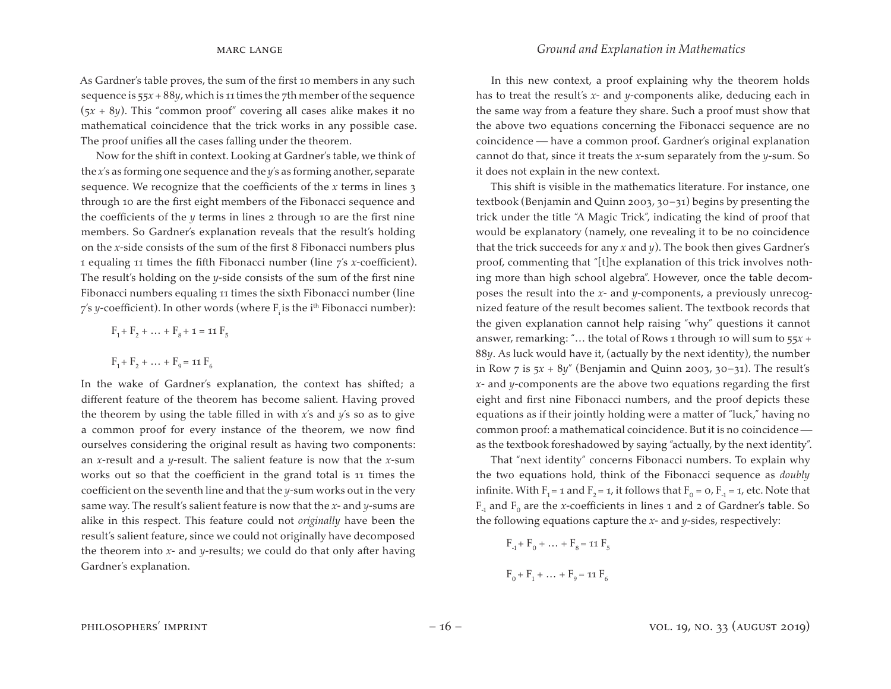As Gardner's table proves, the sum of the first 10 members in any such sequence is 55*x* + 88*y*, which is 11 times the 7th member of the sequence  $(5x + 8y)$ . This "common proof" covering all cases alike makes it no mathematical coincidence that the trick works in any possible case. The proof unifies all the cases falling under the theorem.

Now for the shift in context. Looking at Gardner's table, we think of the *x*'s as forming one sequence and the *y*'s as forming another, separate sequence. We recognize that the coefficients of the *x* terms in lines 3 through 10 are the first eight members of the Fibonacci sequence and the coefficients of the *y* terms in lines 2 through 10 are the first nine members. So Gardner's explanation reveals that the result's holding on the *x*-side consists of the sum of the first 8 Fibonacci numbers plus 1 equaling 11 times the fifth Fibonacci number (line 7's *x*-coefficient). The result's holding on the *y*-side consists of the sum of the first nine Fibonacci numbers equaling 11 times the sixth Fibonacci number (line 7's y-coefficient). In other words (where F<sub>i</sub> is the i<sup>th</sup> Fibonacci number):

$$
F_1 + F_2 + \dots + F_8 + \mathbf{1} = \mathbf{11} F_5
$$
  

$$
F_1 + F_2 + \dots + F_9 = \mathbf{11} F_6
$$

In the wake of Gardner's explanation, the context has shifted; a different feature of the theorem has become salient. Having proved the theorem by using the table filled in with *x*'s and *y*'s so as to give a common proof for every instance of the theorem, we now find ourselves considering the original result as having two components: an *x*-result and a *y*-result. The salient feature is now that the *x*-sum works out so that the coefficient in the grand total is 11 times the coefficient on the seventh line and that the *y*-sum works out in the very same way. The result's salient feature is now that the *x*- and *y*-sums are alike in this respect. This feature could not *originally* have been the result's salient feature, since we could not originally have decomposed the theorem into *x*- and *y*-results; we could do that only after having Gardner's explanation.

In this new context, a proof explaining why the theorem holds has to treat the result's *x*- and *y*-components alike, deducing each in the same way from a feature they share. Such a proof must show that the above two equations concerning the Fibonacci sequence are no coincidence have a common proof. Gardner's original explanation cannot do that, since it treats the *x*-sum separately from the *y*-sum. So it does not explain in the new context.

This shift is visible in the mathematics literature. For instance, one textbook (Benjamin and Quinn 2003, 30–31) begins by presenting the trick under the title "A Magic Trick", indicating the kind of proof that would be explanatory (namely, one revealing it to be no coincidence that the trick succeeds for any *x* and *y*). The book then gives Gardner's proof, commenting that "[t]he explanation of this trick involves nothing more than high school algebra". However, once the table decomposes the result into the *x*- and *y*-components, a previously unrecognized feature of the result becomes salient. The textbook records that the given explanation cannot help raising "why" questions it cannot answer, remarking: "… the total of Rows 1 through 10 will sum to 55*x* + 88*y*. As luck would have it, (actually by the next identity), the number in Row 7 is 5*x* + 8*y*" (Benjamin and Quinn 2003, 30–31). The result's *x*- and *y*-components are the above two equations regarding the first eight and first nine Fibonacci numbers, and the proof depicts these equations as if their jointly holding were a matter of "luck," having no common proof: a mathematical coincidence. But it is no coincidence as the textbook foreshadowed by saying "actually, by the next identity".

That "next identity" concerns Fibonacci numbers. To explain why the two equations hold, think of the Fibonacci sequence as *doubly* infinite. With  $F_1$  = 1 and  $F_2$  = 1, it follows that  $F_0 = 0$ ,  $F_1 = 1$ , etc. Note that  $F_1$  and  $F_0$  are the *x*-coefficients in lines 1 and 2 of Gardner's table. So the following equations capture the *x*- and *y*-sides, respectively:

$$
F_1 + F_0 + \dots + F_8 = \text{11 } F_5
$$
  

$$
F_0 + F_1 + \dots + F_9 = \text{11 } F_6
$$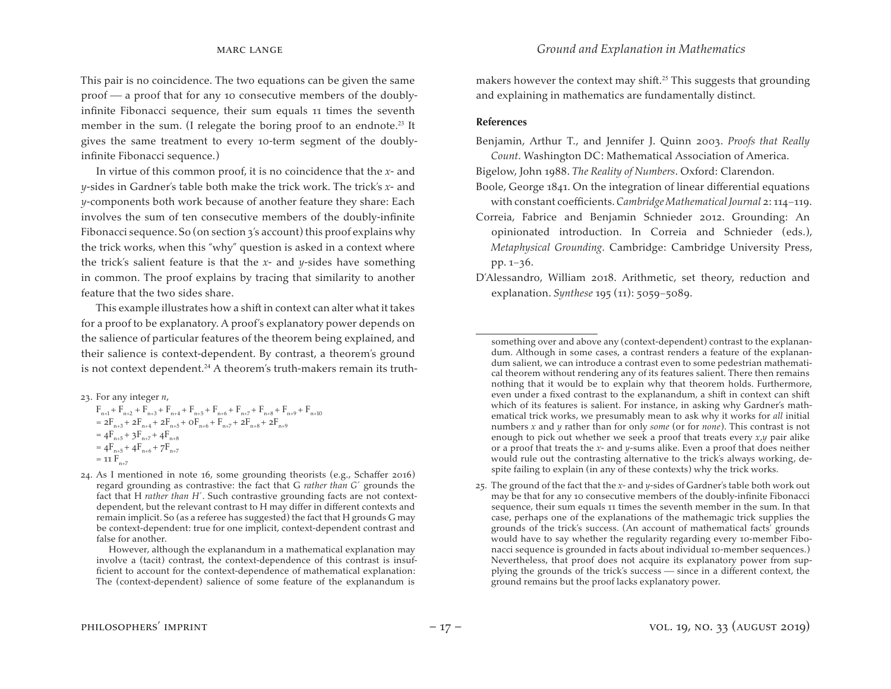This pair is no coincidence. The two equations can be given the same  $proof$  a proof that for any 10 consecutive members of the doublyinfinite Fibonacci sequence, their sum equals 11 times the seventh member in the sum. (I relegate the boring proof to an endnote.<sup>23</sup> It gives the same treatment to every 10-term segment of the doublyinfinite Fibonacci sequence.)

In virtue of this common proof, it is no coincidence that the *x*- and *y*-sides in Gardner's table both make the trick work. The trick's *x*- and *y*-components both work because of another feature they share: Each involves the sum of ten consecutive members of the doubly-infinite Fibonacci sequence. So (on section  $3$ 's account) this proof explains why the trick works, when this "why" question is asked in a context where the trick's salient feature is that the *x*- and *y*-sides have something in common. The proof explains by tracing that similarity to another feature that the two sides share.

This example illustrates how a shift in context can alter what it takes for a proof to be explanatory. A proof's explanatory power depends on the salience of particular features of the theorem being explained, and their salience is context-dependent. By contrast, a theorem's ground is not context dependent.<sup>24</sup> A theorem's truth-makers remain its truth-

- 23. For any integer *n*,  $F_{n+1} + F_{n+2} + F_{n+3} + F_{n+4} + F_{n+5} + F_{n+6} + F_{n+7} + F_{n+8} + F_{n+9} + F_{n+10}$  $= 2F_{n+3} + 2F_{n+4} + 2F_{n+5} + 0F_{n+6} + F_{n+7} + 2F_{n+8} + 2F_{n+9}$  $= 4F_{n+5} + 3F_{n+7} + 4F_{n+8}$  $= 4F_{n+5} + 4F_{n+6} + 7F_{n+7}$  $=$  11  $F_{n+7}$
- 24. As I mentioned in note 16, some grounding theorists (e.g., Schaffer 2016) regard grounding as contrastive: the fact that G *rather than G*´ grounds the fact that H *rather than H*´. Such contrastive grounding facts are not contextdependent, but the relevant contrast to H may differ in different contexts and remain implicit. So (as a referee has suggested) the fact that H grounds G may be context-dependent: true for one implicit, context-dependent contrast and false for another.

makers however the context may shift.<sup>25</sup> This suggests that grounding and explaining in mathematics are fundamentally distinct.

#### **References**

Benjamin, Arthur T., and Jennifer J. Quinn 2003. *Proofs that Really Count*. Washington DC: Mathematical Association of America.

Bigelow, John 1988. *The Reality of Numbers*. Oxford: Clarendon.

- Boole, George 1841. On the integration of linear differential equations with constant coefficients.*Cambridge Mathematical Journal* 2: 114−119.
- Correia, Fabrice and Benjamin Schnieder 2012. Grounding: An opinionated introduction. In Correia and Schnieder (eds.), *Metaphysical Grounding*. Cambridge: Cambridge University Press, pp. 1−36.
- D'Alessandro, William 2018. Arithmetic, set theory, reduction and explanation. *Synthese* 195 (11): 5059−5089.

However, although the explanandum in a mathematical explanation may involve a (tacit) contrast, the context-dependence of this contrast is insufficient to account for the context-dependence of mathematical explanation: The (context-dependent) salience of some feature of the explanandum is

something over and above any (context-dependent) contrast to the explanandum. Although in some cases, a contrast renders a feature of the explanandum salient, we can introduce a contrast even to some pedestrian mathematical theorem without rendering any of its features salient. There then remains nothing that it would be to explain why that theorem holds. Furthermore, even under a fixed contrast to the explanandum, a shift in context can shift which of its features is salient. For instance, in asking why Gardner's mathematical trick works, we presumably mean to ask why it works for *all* initial numbers *x* and *y* rather than for only *some* (or for *none*). This contrast is not enough to pick out whether we seek a proof that treats every *x*,*y* pair alike or a proof that treats the *x*- and *y*-sums alike. Even a proof that does neither would rule out the contrasting alternative to the trick's always working, despite failing to explain (in any of these contexts) why the trick works.

<sup>25.</sup> The ground of the fact that the *x*- and *y*-sides of Gardner's table both work out may be that for any 10 consecutive members of the doubly-infinite Fibonacci sequence, their sum equals 11 times the seventh member in the sum. In that case, perhaps one of the explanations of the mathemagic trick supplies the grounds of the trick's success. (An account of mathematical facts' grounds would have to say whether the regularity regarding every 10-member Fibonacci sequence is grounded in facts about individual 10-member sequences.) Nevertheless, that proof does not acquire its explanatory power from supplying the grounds of the trick's success  $-$  since in a different context, the ground remains but the proof lacks explanatory power.